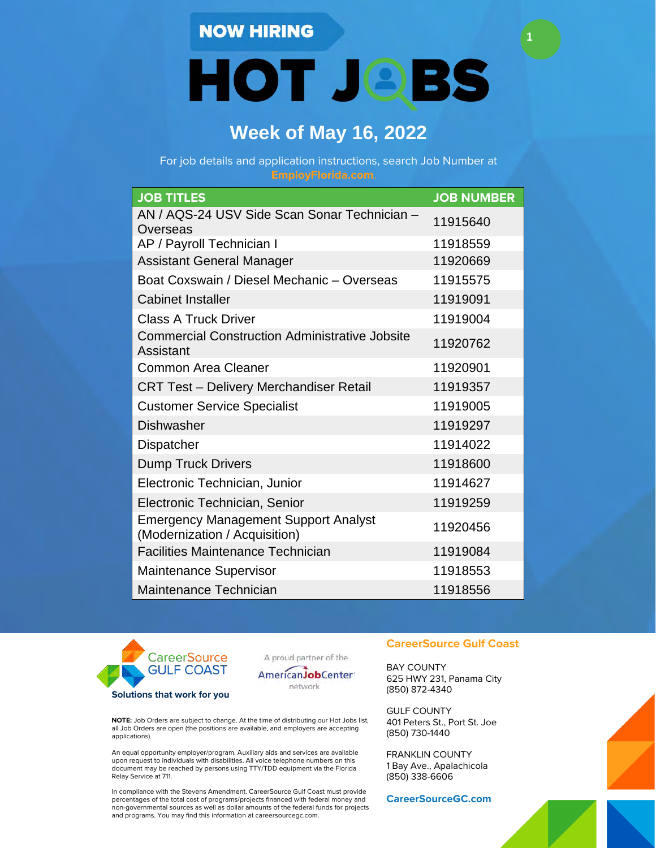### **NOW HIRING**

**HOT JOBS** 

**1**

## **Week of May 16, 2022**

For job details and application instructions, search Job Number at

| <b>JOB TITLES</b>                                                            | <b>JOB NUMBER</b> |
|------------------------------------------------------------------------------|-------------------|
| AN / AQS-24 USV Side Scan Sonar Technician -<br>Overseas                     | 11915640          |
| AP / Payroll Technician I                                                    | 11918559          |
| <b>Assistant General Manager</b>                                             | 11920669          |
| Boat Coxswain / Diesel Mechanic - Overseas                                   | 11915575          |
| <b>Cabinet Installer</b>                                                     | 11919091          |
| <b>Class A Truck Driver</b>                                                  | 11919004          |
| <b>Commercial Construction Administrative Jobsite</b><br>Assistant           | 11920762          |
| Common Area Cleaner                                                          | 11920901          |
| <b>CRT Test - Delivery Merchandiser Retail</b>                               | 11919357          |
| <b>Customer Service Specialist</b>                                           | 11919005          |
| <b>Dishwasher</b>                                                            | 11919297          |
| <b>Dispatcher</b>                                                            | 11914022          |
| <b>Dump Truck Drivers</b>                                                    | 11918600          |
| Electronic Technician, Junior                                                | 11914627          |
| Electronic Technician, Senior                                                | 11919259          |
| <b>Emergency Management Support Analyst</b><br>(Modernization / Acquisition) | 11920456          |
| <b>Facilities Maintenance Technician</b>                                     | 11919084          |
| <b>Maintenance Supervisor</b>                                                | 11918553          |
| Maintenance Technician                                                       | 11918556          |



A proud partner of the



**NOTE:** Job Orders are subject to change. At the time of distributing our Hot Jobs list, all Job Orders are open (the positions are available, and employers are accepting applications).

An equal opportunity employer/program. Auxiliary aids and services are available upon request to individuals with disabilities. All voice telephone numbers on this document may be reached by persons using TTY/TDD equipment via the Florida Relay Service at 711.

In compliance with the Stevens Amendment. CareerSource Gulf Coast must provide percentages of the total cost of programs/projects financed with federal money and non-governmental sources as well as dollar amounts of the federal funds for projects and programs. You may find this information at careersourcegc.com.

#### **CareerSource Gulf Coast**

BAY COUNTY 625 HWY 231, Panama City (850) 872-4340

GULF COUNTY 401 Peters St., Port St. Joe (850) 730-1440

FRANKLIN COUNTY 1 Bay Ave., Apalachicola (850) 338-6606

**CareerSourceGC.com**